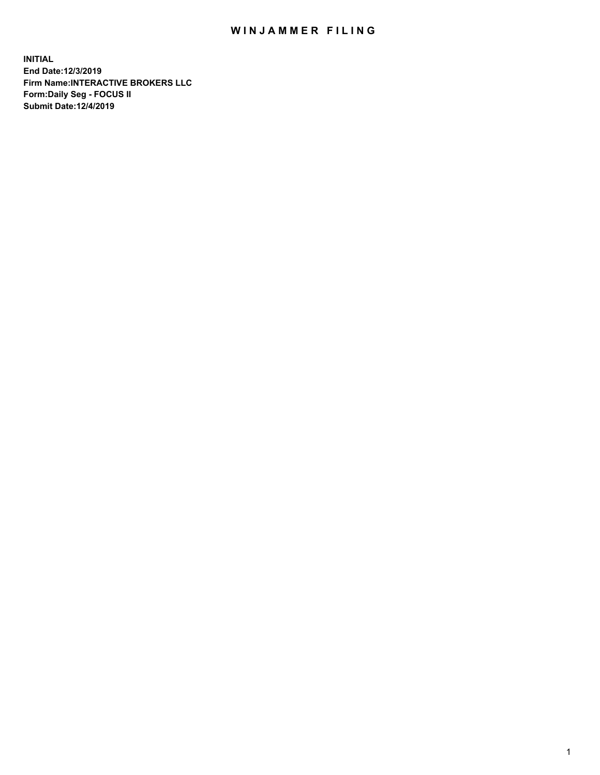## WIN JAMMER FILING

**INITIAL End Date:12/3/2019 Firm Name:INTERACTIVE BROKERS LLC Form:Daily Seg - FOCUS II Submit Date:12/4/2019**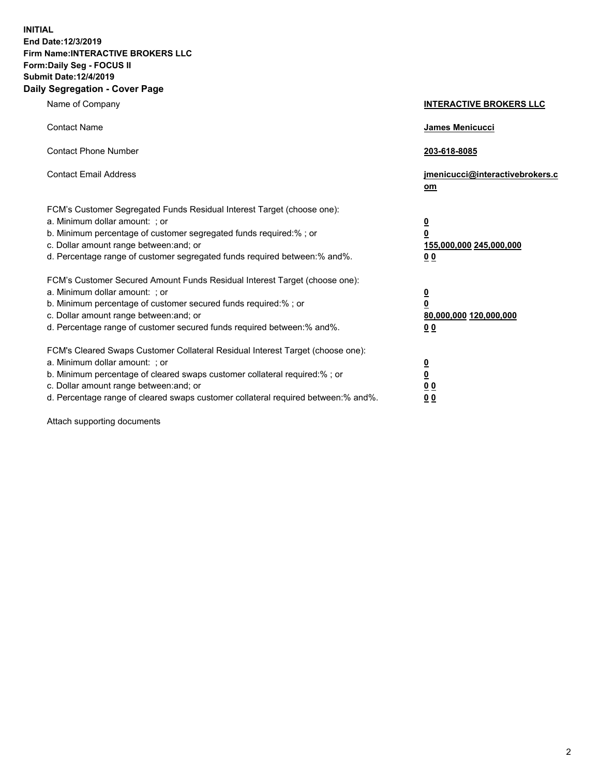**INITIAL End Date:12/3/2019 Firm Name:INTERACTIVE BROKERS LLC Form:Daily Seg - FOCUS II Submit Date:12/4/2019 Daily Segregation - Cover Page**

| Name of Company                                                                                                                                                                                                                                                                                                                | <b>INTERACTIVE BROKERS LLC</b>                                                                  |
|--------------------------------------------------------------------------------------------------------------------------------------------------------------------------------------------------------------------------------------------------------------------------------------------------------------------------------|-------------------------------------------------------------------------------------------------|
| <b>Contact Name</b>                                                                                                                                                                                                                                                                                                            | James Menicucci                                                                                 |
| <b>Contact Phone Number</b>                                                                                                                                                                                                                                                                                                    | 203-618-8085                                                                                    |
| <b>Contact Email Address</b>                                                                                                                                                                                                                                                                                                   | jmenicucci@interactivebrokers.c<br>om                                                           |
| FCM's Customer Segregated Funds Residual Interest Target (choose one):<br>a. Minimum dollar amount: ; or<br>b. Minimum percentage of customer segregated funds required:% ; or<br>c. Dollar amount range between: and; or<br>d. Percentage range of customer segregated funds required between:% and%.                         | $\overline{\mathbf{0}}$<br>$\overline{\mathbf{0}}$<br>155,000,000 245,000,000<br>0 <sub>0</sub> |
| FCM's Customer Secured Amount Funds Residual Interest Target (choose one):<br>a. Minimum dollar amount: ; or<br>b. Minimum percentage of customer secured funds required:% ; or<br>c. Dollar amount range between: and; or<br>d. Percentage range of customer secured funds required between:% and%.                           | $\overline{\mathbf{0}}$<br>0<br>80,000,000 120,000,000<br>0 <sub>0</sub>                        |
| FCM's Cleared Swaps Customer Collateral Residual Interest Target (choose one):<br>a. Minimum dollar amount: ; or<br>b. Minimum percentage of cleared swaps customer collateral required:% ; or<br>c. Dollar amount range between: and; or<br>d. Percentage range of cleared swaps customer collateral required between:% and%. | $\overline{\mathbf{0}}$<br><u>0</u><br>$\underline{0}$ $\underline{0}$<br>00                    |

Attach supporting documents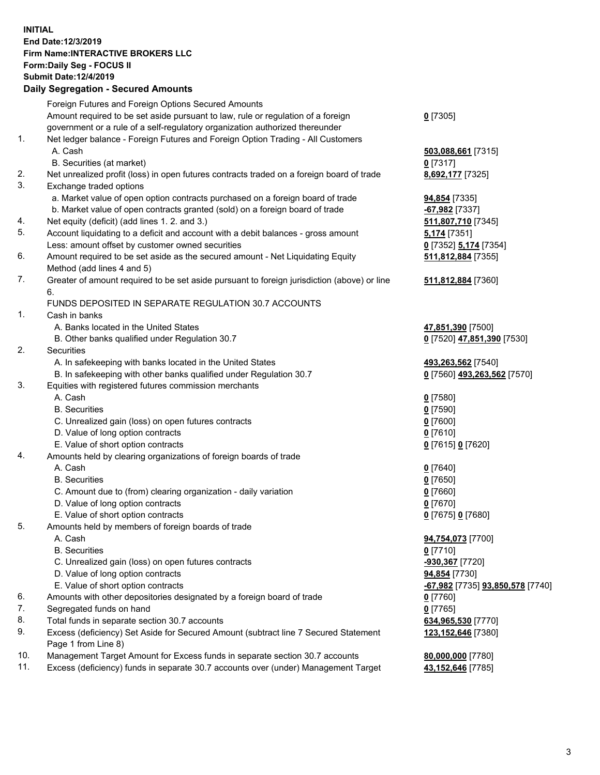## **INITIAL End Date:12/3/2019 Firm Name:INTERACTIVE BROKERS LLC Form:Daily Seg - FOCUS II Submit Date:12/4/2019 Daily Segregation - Secured Amounts**

|     | Daily Segregation - Secured Amounts                                                         |                                                      |
|-----|---------------------------------------------------------------------------------------------|------------------------------------------------------|
|     | Foreign Futures and Foreign Options Secured Amounts                                         |                                                      |
|     | Amount required to be set aside pursuant to law, rule or regulation of a foreign            | $0$ [7305]                                           |
|     | government or a rule of a self-regulatory organization authorized thereunder                |                                                      |
| 1.  | Net ledger balance - Foreign Futures and Foreign Option Trading - All Customers             |                                                      |
|     | A. Cash                                                                                     | 503,088,661 [7315]                                   |
|     | B. Securities (at market)                                                                   | $0$ [7317]                                           |
| 2.  | Net unrealized profit (loss) in open futures contracts traded on a foreign board of trade   | 8,692,177 [7325]                                     |
| 3.  | Exchange traded options                                                                     |                                                      |
|     | a. Market value of open option contracts purchased on a foreign board of trade              | <b>94,854</b> [7335]                                 |
|     | b. Market value of open contracts granted (sold) on a foreign board of trade                | $-67,982$ [7337]                                     |
| 4.  | Net equity (deficit) (add lines 1. 2. and 3.)                                               | 511,807,710 [7345]                                   |
| 5.  | Account liquidating to a deficit and account with a debit balances - gross amount           | 5,174 [7351]                                         |
|     | Less: amount offset by customer owned securities                                            | 0 [7352] 5,174 [7354]                                |
| 6.  | Amount required to be set aside as the secured amount - Net Liquidating Equity              | 511,812,884 [7355]                                   |
|     | Method (add lines 4 and 5)                                                                  |                                                      |
| 7.  | Greater of amount required to be set aside pursuant to foreign jurisdiction (above) or line | 511,812,884 [7360]                                   |
|     | 6.                                                                                          |                                                      |
|     | FUNDS DEPOSITED IN SEPARATE REGULATION 30.7 ACCOUNTS                                        |                                                      |
| 1.  | Cash in banks                                                                               |                                                      |
|     | A. Banks located in the United States                                                       | 47,851,390 [7500]                                    |
|     | B. Other banks qualified under Regulation 30.7                                              | 0 [7520] 47,851,390 [7530]                           |
| 2.  | <b>Securities</b>                                                                           |                                                      |
|     | A. In safekeeping with banks located in the United States                                   | 493,263,562 [7540]                                   |
|     | B. In safekeeping with other banks qualified under Regulation 30.7                          | 0 [7560] 493,263,562 [7570]                          |
| 3.  | Equities with registered futures commission merchants                                       |                                                      |
|     | A. Cash                                                                                     | $0$ [7580]                                           |
|     | <b>B.</b> Securities                                                                        | $0$ [7590]                                           |
|     | C. Unrealized gain (loss) on open futures contracts                                         | $0$ [7600]                                           |
|     | D. Value of long option contracts                                                           | $0$ [7610]                                           |
|     | E. Value of short option contracts                                                          | 0 [7615] 0 [7620]                                    |
| 4.  | Amounts held by clearing organizations of foreign boards of trade                           |                                                      |
|     | A. Cash                                                                                     | $0$ [7640]                                           |
|     | <b>B.</b> Securities                                                                        | $0$ [7650]                                           |
|     |                                                                                             |                                                      |
|     | C. Amount due to (from) clearing organization - daily variation                             | $0$ [7660]                                           |
|     | D. Value of long option contracts                                                           | $0$ [7670]                                           |
|     | E. Value of short option contracts                                                          | 0 [7675] 0 [7680]                                    |
| 5.  | Amounts held by members of foreign boards of trade                                          |                                                      |
|     | A. Cash                                                                                     | 94,754,073 [7700]                                    |
|     | <b>B.</b> Securities                                                                        | $0$ [7710]                                           |
|     | C. Unrealized gain (loss) on open futures contracts                                         | -930,367 [7720]                                      |
|     | D. Value of long option contracts                                                           | 94,854 [7730]                                        |
|     | E. Value of short option contracts                                                          | <mark>-67,982</mark> [7735] <b>93,850,578</b> [7740] |
| 6.  | Amounts with other depositories designated by a foreign board of trade                      | $0$ [7760]                                           |
| 7.  | Segregated funds on hand                                                                    | $0$ [7765]                                           |
| 8.  | Total funds in separate section 30.7 accounts                                               | 634,965,530 [7770]                                   |
| 9.  | Excess (deficiency) Set Aside for Secured Amount (subtract line 7 Secured Statement         | 123, 152, 646 [7380]                                 |
|     | Page 1 from Line 8)                                                                         |                                                      |
| 10. | Management Target Amount for Excess funds in separate section 30.7 accounts                 | 80,000,000 [7780]                                    |
| 11. | Excess (deficiency) funds in separate 30.7 accounts over (under) Management Target          | 43,152,646 [7785]                                    |
|     |                                                                                             |                                                      |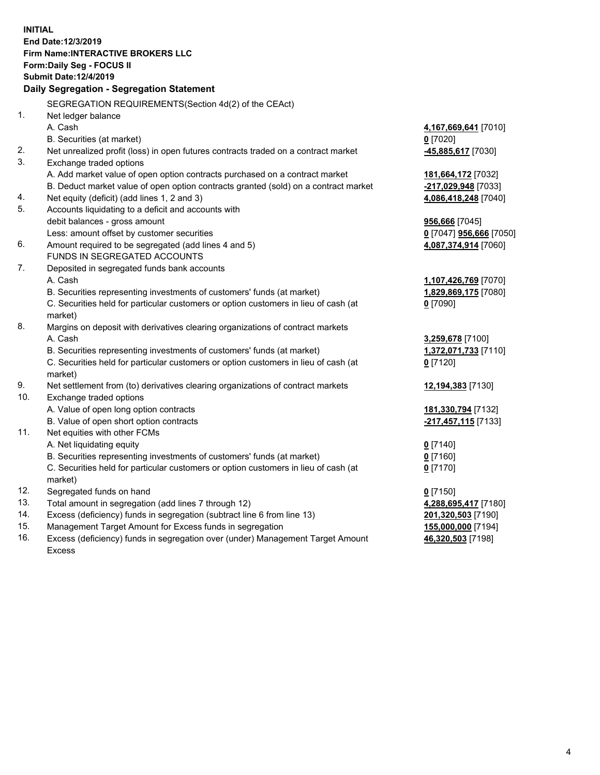**INITIAL End Date:12/3/2019 Firm Name:INTERACTIVE BROKERS LLC Form:Daily Seg - FOCUS II Submit Date:12/4/2019 Daily Segregation - Segregation Statement** SEGREGATION REQUIREMENTS(Section 4d(2) of the CEAct) 1. Net ledger balance A. Cash **4,167,669,641** [7010] B. Securities (at market) **0** [7020] 2. Net unrealized profit (loss) in open futures contracts traded on a contract market **-45,885,617** [7030] 3. Exchange traded options A. Add market value of open option contracts purchased on a contract market **181,664,172** [7032] B. Deduct market value of open option contracts granted (sold) on a contract market **-217,029,948** [7033] 4. Net equity (deficit) (add lines 1, 2 and 3) **4,086,418,248** [7040] 5. Accounts liquidating to a deficit and accounts with debit balances - gross amount **956,666** [7045] Less: amount offset by customer securities **0** [7047] **956,666** [7050] 6. Amount required to be segregated (add lines 4 and 5) **4,087,374,914** [7060] FUNDS IN SEGREGATED ACCOUNTS 7. Deposited in segregated funds bank accounts A. Cash **1,107,426,769** [7070] B. Securities representing investments of customers' funds (at market) **1,829,869,175** [7080] C. Securities held for particular customers or option customers in lieu of cash (at market) **0** [7090] 8. Margins on deposit with derivatives clearing organizations of contract markets A. Cash **3,259,678** [7100] B. Securities representing investments of customers' funds (at market) **1,372,071,733** [7110] C. Securities held for particular customers or option customers in lieu of cash (at market) **0** [7120] 9. Net settlement from (to) derivatives clearing organizations of contract markets **12,194,383** [7130] 10. Exchange traded options A. Value of open long option contracts **181,330,794** [7132] B. Value of open short option contracts **-217,457,115** [7133] 11. Net equities with other FCMs A. Net liquidating equity **0** [7140] B. Securities representing investments of customers' funds (at market) **0** [7160] C. Securities held for particular customers or option customers in lieu of cash (at market) **0** [7170] 12. Segregated funds on hand **0** [7150] 13. Total amount in segregation (add lines 7 through 12) **4,288,695,417** [7180] 14. Excess (deficiency) funds in segregation (subtract line 6 from line 13) **201,320,503** [7190] 15. Management Target Amount for Excess funds in segregation **155,000,000** [7194] **46,320,503** [7198]

16. Excess (deficiency) funds in segregation over (under) Management Target Amount Excess